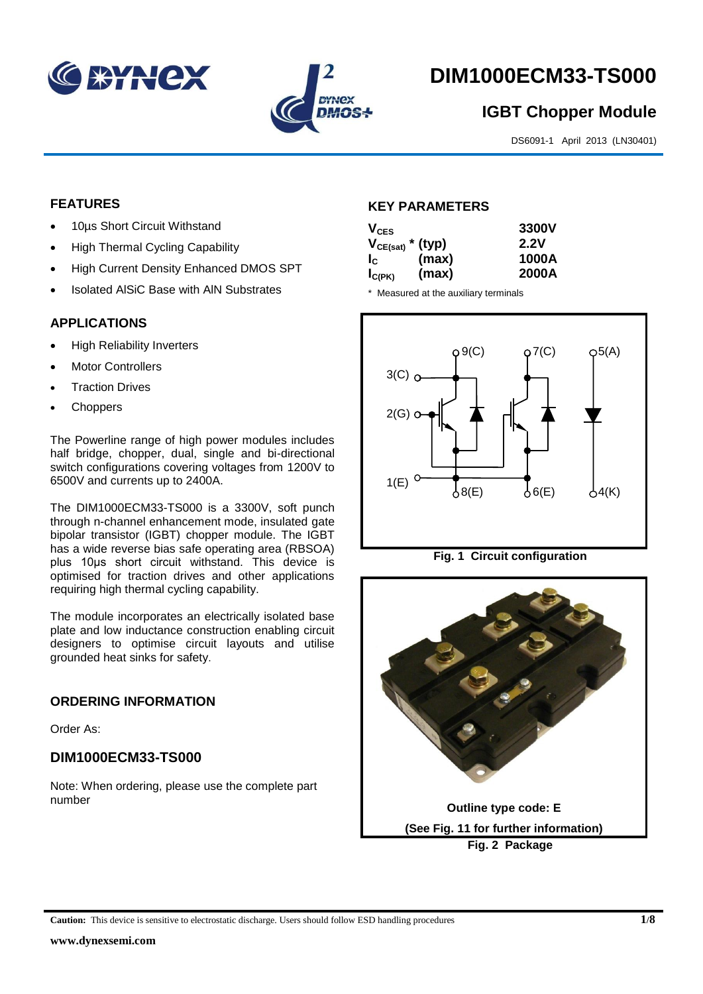



# **DIM1000ECM33-TS000**

## **IGBT Chopper Module**

DS6091-1 April 2013 (LN30401)

#### **FEATURES**

- 10µs Short Circuit Withstand
- High Thermal Cycling Capability
- High Current Density Enhanced DMOS SPT
- Isolated AlSiC Base with AlN Substrates

#### **APPLICATIONS**

- High Reliability Inverters
- Motor Controllers
- Traction Drives
- **Choppers**

The Powerline range of high power modules includes half bridge, chopper, dual, single and bi-directional switch configurations covering voltages from 1200V to 6500V and currents up to 2400A.

The DIM1000ECM33-TS000 is a 3300V, soft punch through n-channel enhancement mode, insulated gate bipolar transistor (IGBT) chopper module. The IGBT has a wide reverse bias safe operating area (RBSOA) plus 10μs short circuit withstand. This device is optimised for traction drives and other applications requiring high thermal cycling capability.

The module incorporates an electrically isolated base plate and low inductance construction enabling circuit designers to optimise circuit layouts and utilise grounded heat sinks for safety.

#### **ORDERING INFORMATION**

Order As:

### **DIM1000ECM33-TS000**

Note: When ordering, please use the complete part number

#### **KEY PARAMETERS**

| $V_{CES}$             |       | 3300V<br>2.2V |
|-----------------------|-------|---------------|
| $V_{CE(sat)}$ * (typ) |       |               |
| $I_c$                 | (max) | 1000A         |
| $I_{C(PK)}$           | (max) | 2000A         |

\* Measured at the auxiliary terminals



**Fig. 1 Circuit configuration**

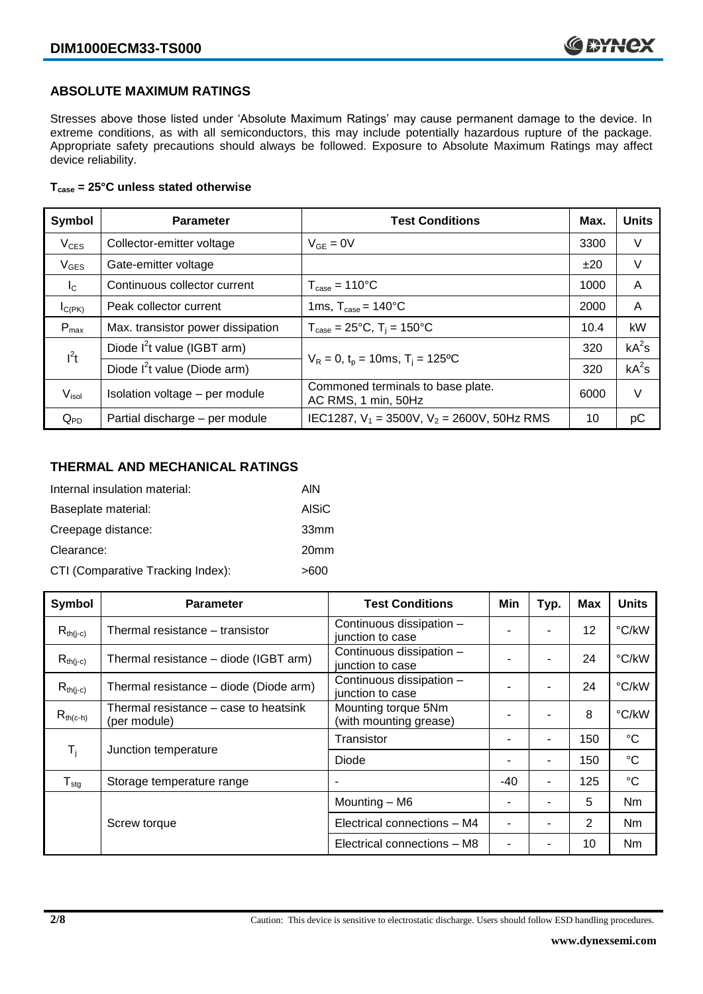#### **ABSOLUTE MAXIMUM RATINGS**

Stresses above those listed under 'Absolute Maximum Ratings' may cause permanent damage to the device. In extreme conditions, as with all semiconductors, this may include potentially hazardous rupture of the package. Appropriate safety precautions should always be followed. Exposure to Absolute Maximum Ratings may affect device reliability.

#### **Tcase = 25°C unless stated otherwise**

| Symbol            | <b>Parameter</b>                  | <b>Test Conditions</b>                                   | Max. | <b>Units</b> |
|-------------------|-----------------------------------|----------------------------------------------------------|------|--------------|
| $V_{CES}$         | Collector-emitter voltage         | $V_{GE} = 0V$                                            | 3300 | V            |
| $V_{\text{GES}}$  | Gate-emitter voltage              |                                                          | ±20  | V            |
| $I_{\rm C}$       | Continuous collector current      | $T_{\text{case}} = 110^{\circ}C$                         | 1000 | A            |
| $I_{C(PK)}$       | Peak collector current            | 1ms, $T_{\text{case}} = 140^{\circ}$ C                   | 2000 | A            |
| $P_{\text{max}}$  | Max. transistor power dissipation | $T_{\text{case}} = 25^{\circ}C$ , $T_i = 150^{\circ}C$   | 10.4 | kW           |
| $I^2t$            | Diode $I^2$ t value (IGBT arm)    |                                                          | 320  | $kA^2s$      |
|                   | Diode $I^2$ t value (Diode arm)   | $V_R = 0$ , $t_p = 10$ ms, $T_i = 125$ °C                | 320  | $kA^2s$      |
| $V_{\text{isol}}$ | Isolation voltage - per module    | Commoned terminals to base plate.<br>AC RMS, 1 min, 50Hz | 6000 | V            |
| $Q_{PD}$          | Partial discharge - per module    | IEC1287, $V_1$ = 3500V, $V_2$ = 2600V, 50Hz RMS          | 10   | pC           |

#### **THERMAL AND MECHANICAL RATINGS**

| Internal insulation material:     | AIN              |
|-----------------------------------|------------------|
| Baseplate material:               | <b>AISiC</b>     |
| Creepage distance:                | 33mm             |
| Clearance:                        | 20 <sub>mm</sub> |
| CTI (Comparative Tracking Index): | >600             |

| Symbol           | <b>Parameter</b>                                      | <b>Test Conditions</b>                        | Min   | Typ. | <b>Max</b>     | <b>Units</b>    |
|------------------|-------------------------------------------------------|-----------------------------------------------|-------|------|----------------|-----------------|
| $R_{th(i-c)}$    | Thermal resistance – transistor                       | Continuous dissipation -<br>junction to case  |       | ۰    | 12             | °C/kW           |
| $R_{th(j-c)}$    | Thermal resistance - diode (IGBT arm)                 | Continuous dissipation -<br>junction to case  |       | ۰    | 24             | °C/kW           |
| $R_{th(i-c)}$    | Thermal resistance - diode (Diode arm)                | Continuous dissipation -<br>junction to case  |       | ۰    | 24             | °C/kW           |
| $R_{th(c-h)}$    | Thermal resistance – case to heatsink<br>(per module) | Mounting torque 5Nm<br>(with mounting grease) |       | ۰    | 8              | °C/kW           |
| $T_i$            | Junction temperature                                  | Transistor                                    |       | ٠    | 150            | $^{\circ}C$     |
|                  |                                                       | Diode                                         |       | ۰    | 150            | $\rm ^{\circ}C$ |
| $T_{\text{stg}}$ | Storage temperature range                             |                                               | $-40$ | ٠    | 125            | $^{\circ}C$     |
|                  |                                                       | Mounting - M6                                 |       | ۰    | 5              | Nm              |
|                  | Screw torque                                          | Electrical connections - M4                   |       | ۰    | $\overline{2}$ | Nm              |
|                  |                                                       | Electrical connections - M8                   |       |      | 10             | Nm              |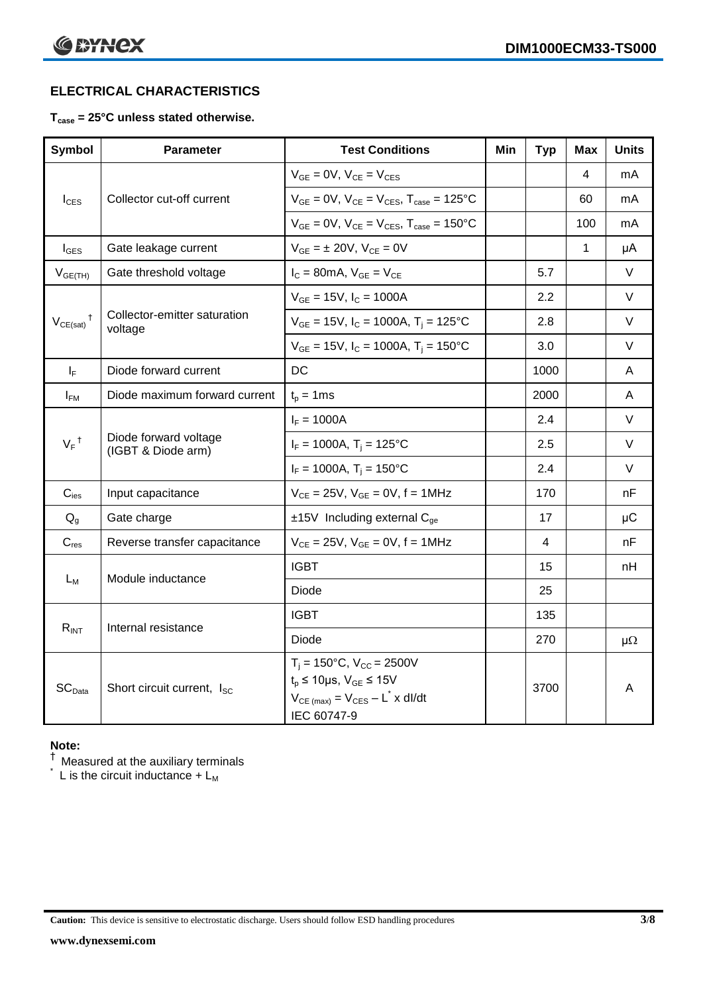### **ELECTRICAL CHARACTERISTICS**

#### **Tcase = 25°C unless stated otherwise.**

| <b>Symbol</b>              | Parameter                                   | <b>Test Conditions</b>                                                                                                                                         | Min | <b>Typ</b>       | <b>Max</b>   | <b>Units</b> |
|----------------------------|---------------------------------------------|----------------------------------------------------------------------------------------------------------------------------------------------------------------|-----|------------------|--------------|--------------|
|                            |                                             | $V_{GE} = 0V$ , $V_{CE} = V_{CES}$                                                                                                                             |     |                  | 4            | mA           |
| $I_{\text{CES}}$           | Collector cut-off current                   | $V_{GE} = 0V$ , $V_{CE} = V_{CES}$ , $T_{case} = 125^{\circ}C$                                                                                                 |     |                  | 60           | mA           |
|                            |                                             | $V_{GE} = 0V$ , $V_{CE} = V_{CES}$ , $T_{case} = 150^{\circ}C$                                                                                                 |     |                  | 100          | mA           |
| $I_{\text{GES}}$           | Gate leakage current                        | $V_{GE} = \pm 20 V$ , $V_{CE} = 0V$                                                                                                                            |     |                  | $\mathbf{1}$ | μA           |
| $V_{GE(TH)}$               | Gate threshold voltage                      | $I_C = 80mA$ , $V_{GE} = V_{CE}$                                                                                                                               |     | 5.7              |              | $\vee$       |
|                            |                                             | $V_{GE}$ = 15V, $I_C$ = 1000A                                                                                                                                  |     | $2.2\phantom{0}$ |              | V            |
| $V_{CE(sat)}$ <sup>†</sup> | Collector-emitter saturation<br>voltage     | $V_{GE}$ = 15V, $I_C$ = 1000A, T <sub>i</sub> = 125°C                                                                                                          |     | 2.8              |              | $\vee$       |
|                            |                                             | $V_{GE}$ = 15V, I <sub>C</sub> = 1000A, T <sub>i</sub> = 150°C                                                                                                 |     | 3.0              |              | V            |
| $I_F$                      | Diode forward current                       | <b>DC</b>                                                                                                                                                      |     | 1000             |              | A            |
| $I_{FM}$                   | Diode maximum forward current               | $t_p = 1$ ms                                                                                                                                                   |     | 2000             |              | A            |
|                            | Diode forward voltage<br>(IGBT & Diode arm) | $I_F = 1000A$                                                                                                                                                  |     | 2.4              |              | $\vee$       |
| $V_F$ <sup>†</sup>         |                                             | $I_F = 1000A$ , $T_i = 125^{\circ}C$                                                                                                                           |     | 2.5              |              | V            |
|                            |                                             | $I_F = 1000A$ , $T_i = 150^{\circ}C$                                                                                                                           |     | 2.4              |              | V            |
| $C_{\text{ies}}$           | Input capacitance                           | $V_{CE} = 25V$ , $V_{GE} = 0V$ , $f = 1MHz$                                                                                                                    |     | 170              |              | nF           |
| $Q_q$                      | Gate charge                                 | $±15V$ Including external C <sub>ge</sub>                                                                                                                      |     | 17               |              | $\mu$ C      |
| $C_{res}$                  | Reverse transfer capacitance                | $V_{CE} = 25V, V_{GE} = 0V, f = 1MHz$                                                                                                                          |     | 4                |              | nF           |
|                            | Module inductance                           | <b>IGBT</b>                                                                                                                                                    |     | 15               |              | nH           |
| $L_M$                      |                                             | <b>Diode</b>                                                                                                                                                   |     | 25               |              |              |
| $R_{INT}$                  |                                             | <b>IGBT</b>                                                                                                                                                    |     | 135              |              |              |
|                            | Internal resistance                         | <b>Diode</b>                                                                                                                                                   |     | 270              |              | $\mu\Omega$  |
| SC <sub>Data</sub>         | Short circuit current, I <sub>SC</sub>      | $T_i = 150^{\circ}C$ , $V_{CC} = 2500V$<br>$t_p \le 10 \mu s$ , $V_{GE} \le 15 V$<br>$V_{CE \text{(max)}} = V_{CES} - L^{\dagger} \times dl/dt$<br>IEC 60747-9 |     | 3700             |              | A            |

#### **Note:**

 $^\dagger$  Measured at the auxiliary terminals

 $\check{}$  L is the circuit inductance + L<sub>M</sub>

**Caution:** This device is sensitive to electrostatic discharge. Users should follow ESD handling procedures **3/8**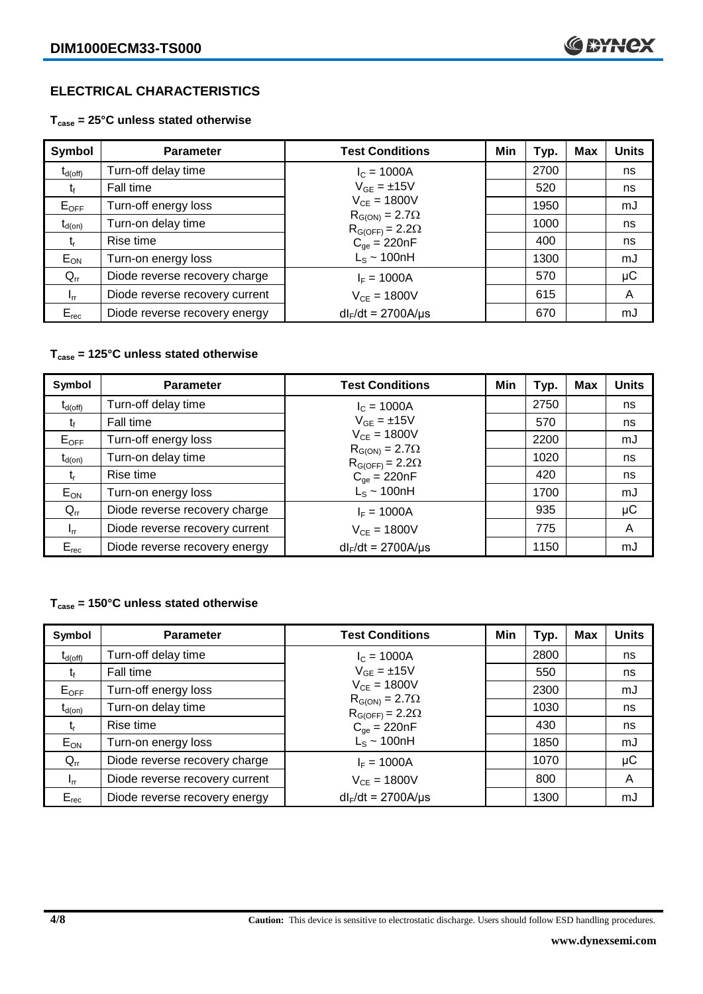### **ELECTRICAL CHARACTERISTICS**

**Tcase = 25°C unless stated otherwise**

| Symbol       | <b>Parameter</b>               | <b>Test Conditions</b>                              | Min | Typ. | Max | <b>Units</b> |
|--------------|--------------------------------|-----------------------------------------------------|-----|------|-----|--------------|
| $t_{d(off)}$ | Turn-off delay time            | $I_c = 1000A$                                       |     | 2700 |     | ns           |
| t            | Fall time                      | $V_{GE} = \pm 15V$                                  |     | 520  |     | ns           |
| $E_{OFF}$    | Turn-off energy loss           | $V_{CE} = 1800V$                                    |     | 1950 |     | mJ           |
| $t_{d(on)}$  | Turn-on delay time             | $R_{G(ON)} = 2.7\Omega$<br>$R_{G(OFF)} = 2.2\Omega$ |     | 1000 |     | ns           |
| t,           | Rise time                      | $C_{\text{qe}} = 220nF$                             |     | 400  |     | ns           |
| $E_{ON}$     | Turn-on energy loss            | $L_s \sim 100nH$                                    |     | 1300 |     | mJ           |
| $Q_{rr}$     | Diode reverse recovery charge  | $I_F = 1000A$                                       |     | 570  |     | $\mu$ C      |
| $I_{rr}$     | Diode reverse recovery current | $V_{CF} = 1800V$                                    |     | 615  |     | A            |
| $E_{rec}$    | Diode reverse recovery energy  | $dl_F/dt = 2700A/\mu s$                             |     | 670  |     | mJ           |

#### **Tcase = 125°C unless stated otherwise**

| Symbol              | <b>Parameter</b>               | <b>Test Conditions</b>                              | Min | Typ. | <b>Max</b> | <b>Units</b> |
|---------------------|--------------------------------|-----------------------------------------------------|-----|------|------------|--------------|
| $t_{d(\text{off})}$ | Turn-off delay time            | $I_c = 1000A$                                       |     | 2750 |            | ns           |
| t                   | Fall time                      | $V_{GF} = \pm 15V$                                  |     | 570  |            | ns           |
| $E_{OFF}$           | Turn-off energy loss           | $V_{CE} = 1800V$                                    |     | 2200 |            | mJ           |
| $t_{d(on)}$         | Turn-on delay time             | $R_{G(ON)} = 2.7\Omega$<br>$R_{G(OFF)} = 2.2\Omega$ |     | 1020 |            | ns           |
| t,                  | Rise time                      | $C_{qe} = 220nF$                                    |     | 420  |            | ns           |
| $E_{ON}$            | Turn-on energy loss            | $L_s \sim 100nH$                                    |     | 1700 |            | mJ           |
| $Q_{rr}$            | Diode reverse recovery charge  | $I_F = 1000A$                                       |     | 935  |            | μC           |
| $I_{rr}$            | Diode reverse recovery current | $V_{CE} = 1800V$                                    |     | 775  |            | A            |
| $E_{rec}$           | Diode reverse recovery energy  | $dl_F/dt = 2700A/\mu s$                             |     | 1150 |            | mJ           |

#### **Tcase = 150°C unless stated otherwise**

| Symbol              | <b>Parameter</b>               | <b>Test Conditions</b>                              | Min | Typ. | Max | <b>Units</b> |
|---------------------|--------------------------------|-----------------------------------------------------|-----|------|-----|--------------|
| $t_{d(\text{off})}$ | Turn-off delay time            | $I_c = 1000A$                                       |     | 2800 |     | ns           |
| t,                  | Fall time                      | $V_{GE} = \pm 15V$                                  |     | 550  |     | ns           |
| $E_{OFF}$           | Turn-off energy loss           | $V_{CE} = 1800V$                                    |     | 2300 |     | mJ           |
| $t_{d(on)}$         | Turn-on delay time             | $R_{G(ON)} = 2.7\Omega$<br>$R_{G(OFF)} = 2.2\Omega$ |     | 1030 |     | ns           |
| t,                  | Rise time                      | $C_{qe} = 220nF$                                    |     | 430  |     | ns           |
| $E_{ON}$            | Turn-on energy loss            | $L_s \sim 100$ nH                                   |     | 1850 |     | mJ           |
| $Q_{rr}$            | Diode reverse recovery charge  | $I_F = 1000A$                                       |     | 1070 |     | μC           |
| $I_{rr}$            | Diode reverse recovery current | $V_{CF} = 1800V$                                    |     | 800  |     | A            |
| $E_{rec}$           | Diode reverse recovery energy  | $dl_F/dt = 2700A/\mu s$                             |     | 1300 |     | mJ           |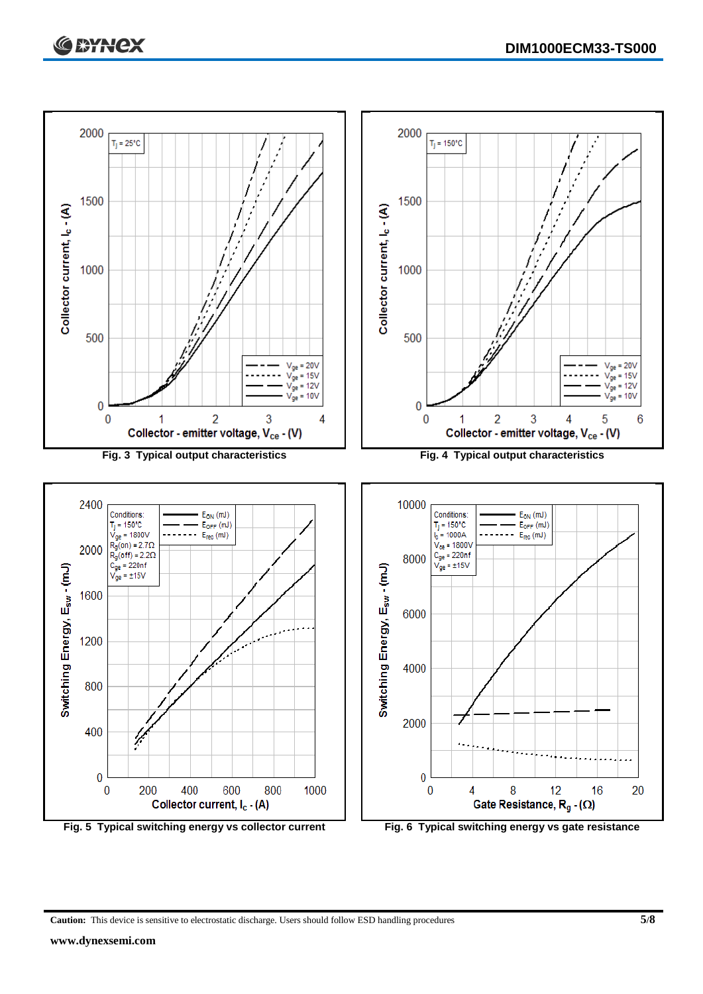

**Caution:** This device is sensitive to electrostatic discharge. Users should follow ESD handling procedures **5/8**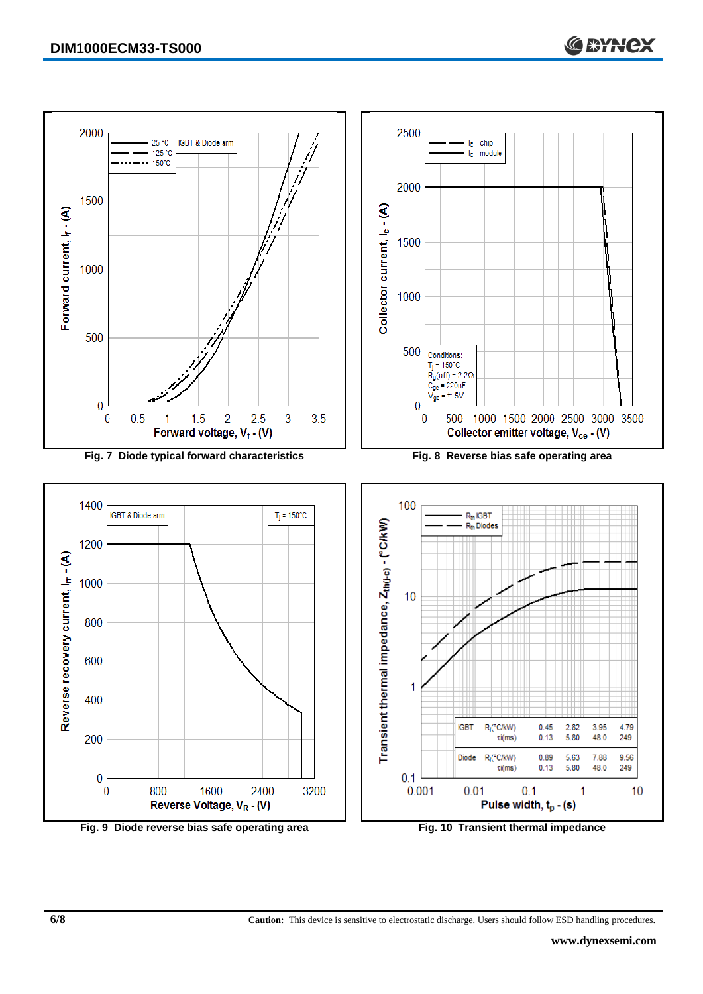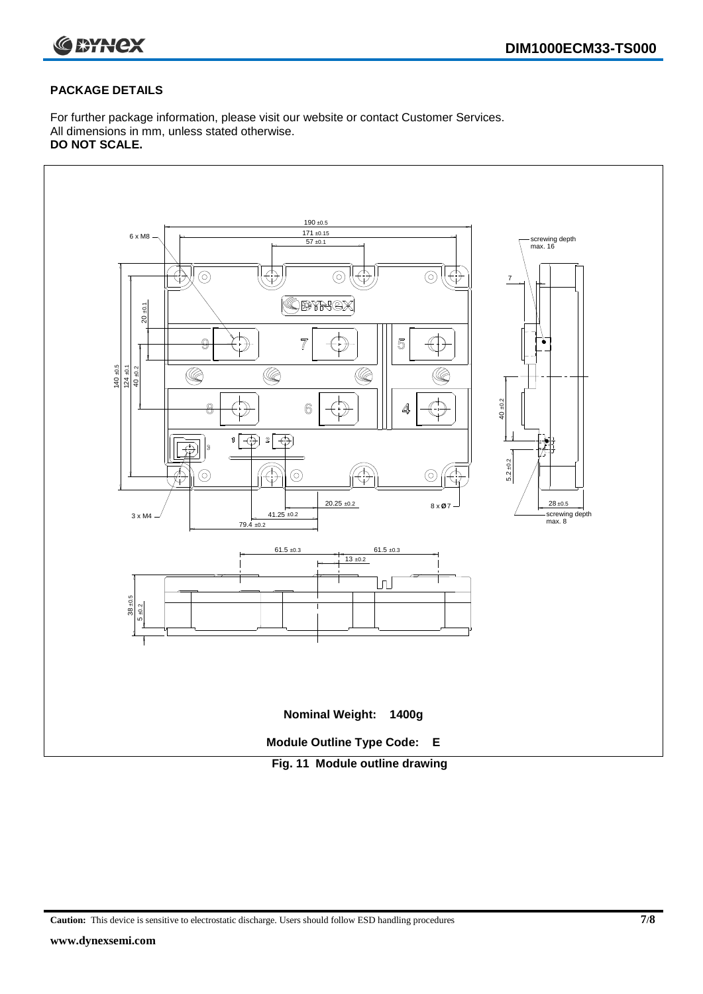

#### **PACKAGE DETAILS**

For further package information, please visit our website or contact Customer Services. All dimensions in mm, unless stated otherwise. **DO NOT SCALE.**



**Caution:** This device is sensitive to electrostatic discharge. Users should follow ESD handling procedures **7/8**